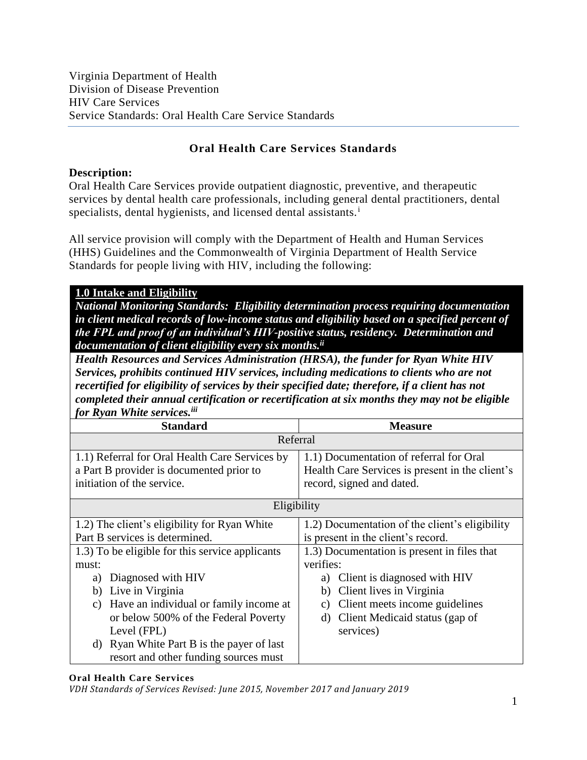# **Oral Health Care Services Standards**

### **Description:**

Oral Health Care Services provide outpatient diagnostic, preventive, and therapeutic services by dental health care professionals, including general dental practitioners, dental specialists, dental hygienists, and licensed dental assistants.<sup>i</sup>

All service provision will comply with the Department of Health and Human Services (HHS) Guidelines and the Commonwealth of Virginia Department of Health Service Standards for people living with HIV, including the following:

### **1.0 Intake and Eligibility**

*National Monitoring Standards: Eligibility determination process requiring documentation in client medical records of low-income status and eligibility based on a specified percent of the FPL and proof of an individual's HIV-positive status, residency. Determination and documentation of client eligibility every six months. ii*

*Health Resources and Services Administration (HRSA), the funder for Ryan White HIV Services, prohibits continued HIV services, including medications to clients who are not recertified for eligibility of services by their specified date; therefore, if a client has not completed their annual certification or recertification at six months they may not be eligible for Ryan White services.iii*

| <b>Standard</b>                                                                                                          | <b>Measure</b>                                                                                                          |
|--------------------------------------------------------------------------------------------------------------------------|-------------------------------------------------------------------------------------------------------------------------|
| Referral                                                                                                                 |                                                                                                                         |
| 1.1) Referral for Oral Health Care Services by<br>a Part B provider is documented prior to<br>initiation of the service. | 1.1) Documentation of referral for Oral<br>Health Care Services is present in the client's<br>record, signed and dated. |
| Eligibility                                                                                                              |                                                                                                                         |
| 1.2) The client's eligibility for Ryan White                                                                             | 1.2) Documentation of the client's eligibility                                                                          |
| Part B services is determined.                                                                                           | is present in the client's record.                                                                                      |
| 1.3) To be eligible for this service applicants                                                                          | 1.3) Documentation is present in files that                                                                             |
| must:                                                                                                                    | verifies:                                                                                                               |
| Diagnosed with HIV<br>a)                                                                                                 | Client is diagnosed with HIV<br>a)                                                                                      |
| Live in Virginia<br>b)                                                                                                   | Client lives in Virginia<br>b)                                                                                          |
| Have an individual or family income at<br>C)                                                                             | Client meets income guidelines<br>C)                                                                                    |
| or below 500% of the Federal Poverty                                                                                     | Client Medicaid status (gap of<br>d)                                                                                    |
| Level (FPL)                                                                                                              | services)                                                                                                               |
| Ryan White Part B is the payer of last<br>d)                                                                             |                                                                                                                         |
| resort and other funding sources must                                                                                    |                                                                                                                         |

#### **Oral Health Care Services**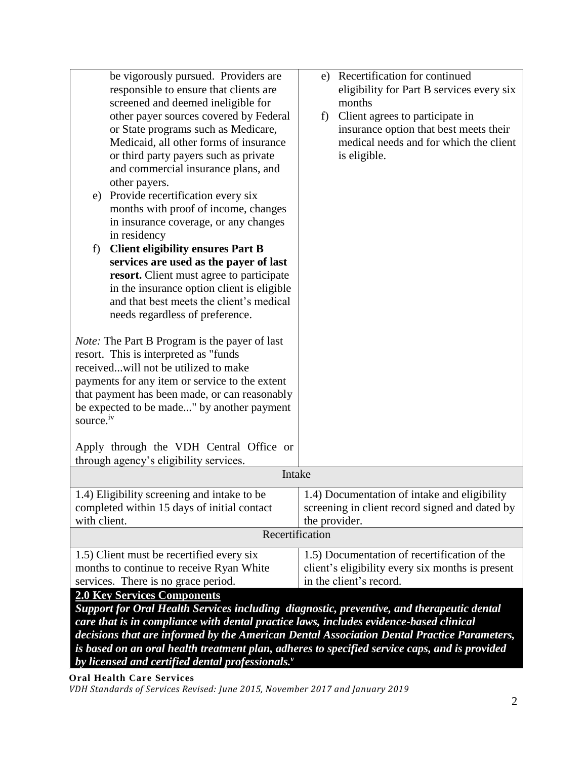| be vigorously pursued. Providers are                                                          | e) Recertification for continued                 |  |
|-----------------------------------------------------------------------------------------------|--------------------------------------------------|--|
| responsible to ensure that clients are                                                        | eligibility for Part B services every six        |  |
| screened and deemed ineligible for                                                            | months                                           |  |
| other payer sources covered by Federal                                                        | Client agrees to participate in<br>f)            |  |
| or State programs such as Medicare,                                                           | insurance option that best meets their           |  |
| Medicaid, all other forms of insurance                                                        | medical needs and for which the client           |  |
| or third party payers such as private                                                         | is eligible.                                     |  |
| and commercial insurance plans, and                                                           |                                                  |  |
| other payers.                                                                                 |                                                  |  |
| Provide recertification every six<br>e)                                                       |                                                  |  |
| months with proof of income, changes                                                          |                                                  |  |
| in insurance coverage, or any changes                                                         |                                                  |  |
| in residency                                                                                  |                                                  |  |
| <b>Client eligibility ensures Part B</b><br>f)                                                |                                                  |  |
| services are used as the payer of last                                                        |                                                  |  |
| resort. Client must agree to participate                                                      |                                                  |  |
| in the insurance option client is eligible                                                    |                                                  |  |
| and that best meets the client's medical                                                      |                                                  |  |
| needs regardless of preference.                                                               |                                                  |  |
|                                                                                               |                                                  |  |
| <i>Note:</i> The Part B Program is the payer of last                                          |                                                  |  |
| resort. This is interpreted as "funds                                                         |                                                  |  |
| receivedwill not be utilized to make                                                          |                                                  |  |
| payments for any item or service to the extent                                                |                                                  |  |
| that payment has been made, or can reasonably                                                 |                                                  |  |
| be expected to be made" by another payment<br>source. <sup>iv</sup>                           |                                                  |  |
|                                                                                               |                                                  |  |
| Apply through the VDH Central Office or                                                       |                                                  |  |
| through agency's eligibility services.                                                        |                                                  |  |
| Intake                                                                                        |                                                  |  |
|                                                                                               |                                                  |  |
| 1.4) Eligibility screening and intake to be                                                   | .4) Documentation of intake and eligibility      |  |
| completed within 15 days of initial contact                                                   | screening in client record signed and dated by   |  |
| with client.                                                                                  | the provider.                                    |  |
| Recertification                                                                               |                                                  |  |
| 1.5) Client must be recertified every six                                                     | 1.5) Documentation of recertification of the     |  |
| months to continue to receive Ryan White                                                      | client's eligibility every six months is present |  |
| services. There is no grace period.                                                           | in the client's record.                          |  |
| <b>2.0 Key Services Components</b>                                                            |                                                  |  |
| Support for Oral Health Services including diagnostic, preventive, and therapeutic dental     |                                                  |  |
| care that is in compliance with dental practice laws, includes evidence-based clinical        |                                                  |  |
| decisions that are informed by the American Dental Association Dental Practice Parameters,    |                                                  |  |
| is based on an oral health treatment plan, adheres to specified service caps, and is provided |                                                  |  |
| by licensed and certified dental professionals."                                              |                                                  |  |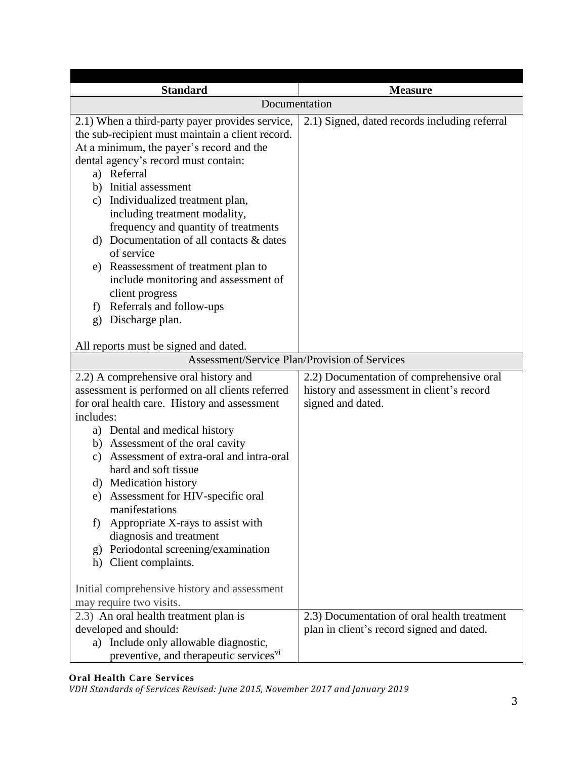| <b>Standard</b>                                                                                                                                                                                                                                                                                                                                                                                                                                                                                                                                                                                               | <b>Measure</b>                                                                                             |
|---------------------------------------------------------------------------------------------------------------------------------------------------------------------------------------------------------------------------------------------------------------------------------------------------------------------------------------------------------------------------------------------------------------------------------------------------------------------------------------------------------------------------------------------------------------------------------------------------------------|------------------------------------------------------------------------------------------------------------|
| Documentation                                                                                                                                                                                                                                                                                                                                                                                                                                                                                                                                                                                                 |                                                                                                            |
| 2.1) When a third-party payer provides service,<br>the sub-recipient must maintain a client record.<br>At a minimum, the payer's record and the<br>dental agency's record must contain:<br>a) Referral<br>b) Initial assessment<br>c) Individualized treatment plan,<br>including treatment modality,<br>frequency and quantity of treatments<br>d) Documentation of all contacts & dates<br>of service<br>e) Reassessment of treatment plan to<br>include monitoring and assessment of<br>client progress<br>f) Referrals and follow-ups<br>Discharge plan.<br>g)                                            | 2.1) Signed, dated records including referral                                                              |
| All reports must be signed and dated.                                                                                                                                                                                                                                                                                                                                                                                                                                                                                                                                                                         |                                                                                                            |
| <b>Assessment/Service Plan/Provision of Services</b>                                                                                                                                                                                                                                                                                                                                                                                                                                                                                                                                                          |                                                                                                            |
| 2.2) A comprehensive oral history and<br>assessment is performed on all clients referred<br>for oral health care. History and assessment<br>includes:<br>a) Dental and medical history<br>b) Assessment of the oral cavity<br>c) Assessment of extra-oral and intra-oral<br>hard and soft tissue<br>d) Medication history<br>Assessment for HIV-specific oral<br>e)<br>manifestations<br>Appropriate X-rays to assist with<br>f)<br>diagnosis and treatment<br>Periodontal screening/examination<br>g)<br>Client complaints.<br>h)<br>Initial comprehensive history and assessment<br>may require two visits. | 2.2) Documentation of comprehensive oral<br>history and assessment in client's record<br>signed and dated. |
| 2.3) An oral health treatment plan is<br>developed and should:<br>Include only allowable diagnostic,<br>a)<br>preventive, and therapeutic services <sup>vi</sup>                                                                                                                                                                                                                                                                                                                                                                                                                                              | 2.3) Documentation of oral health treatment<br>plan in client's record signed and dated.                   |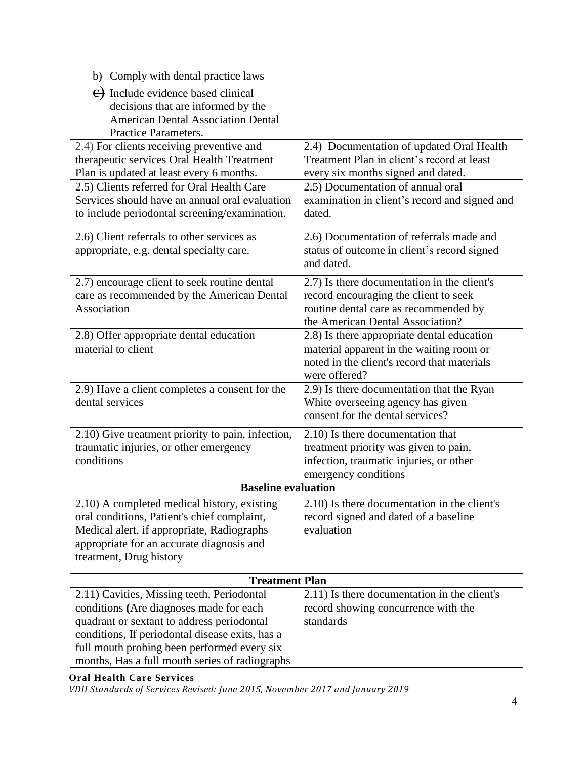| b) Comply with dental practice laws               |                                               |  |
|---------------------------------------------------|-----------------------------------------------|--|
| $\leftrightarrow$ Include evidence based clinical |                                               |  |
| decisions that are informed by the                |                                               |  |
| <b>American Dental Association Dental</b>         |                                               |  |
| Practice Parameters.                              |                                               |  |
| 2.4) For clients receiving preventive and         | 2.4) Documentation of updated Oral Health     |  |
| therapeutic services Oral Health Treatment        | Treatment Plan in client's record at least    |  |
| Plan is updated at least every 6 months.          | every six months signed and dated.            |  |
| 2.5) Clients referred for Oral Health Care        | 2.5) Documentation of annual oral             |  |
| Services should have an annual oral evaluation    | examination in client's record and signed and |  |
| to include periodontal screening/examination.     | dated.                                        |  |
| 2.6) Client referrals to other services as        | 2.6) Documentation of referrals made and      |  |
| appropriate, e.g. dental specialty care.          | status of outcome in client's record signed   |  |
|                                                   | and dated.                                    |  |
| 2.7) encourage client to seek routine dental      | 2.7) Is there documentation in the client's   |  |
| care as recommended by the American Dental        | record encouraging the client to seek         |  |
| Association                                       | routine dental care as recommended by         |  |
|                                                   | the American Dental Association?              |  |
| 2.8) Offer appropriate dental education           | 2.8) Is there appropriate dental education    |  |
| material to client                                | material apparent in the waiting room or      |  |
|                                                   | noted in the client's record that materials   |  |
|                                                   | were offered?                                 |  |
| 2.9) Have a client completes a consent for the    | 2.9) Is there documentation that the Ryan     |  |
| dental services                                   | White overseeing agency has given             |  |
|                                                   | consent for the dental services?              |  |
| 2.10) Give treatment priority to pain, infection, | 2.10) Is there documentation that             |  |
| traumatic injuries, or other emergency            | treatment priority was given to pain,         |  |
| conditions                                        | infection, traumatic injuries, or other       |  |
|                                                   | emergency conditions                          |  |
| <b>Baseline evaluation</b>                        |                                               |  |
| 2.10) A completed medical history, existing       | 2.10) Is there documentation in the client's  |  |
| oral conditions, Patient's chief complaint,       | record signed and dated of a baseline         |  |
| Medical alert, if appropriate, Radiographs        | evaluation                                    |  |
| appropriate for an accurate diagnosis and         |                                               |  |
| treatment, Drug history                           |                                               |  |
| <b>Treatment Plan</b>                             |                                               |  |
| 2.11) Cavities, Missing teeth, Periodontal        | 2.11) Is there documentation in the client's  |  |
| conditions (Are diagnoses made for each           | record showing concurrence with the           |  |
| quadrant or sextant to address periodontal        | standards                                     |  |
| conditions, If periodontal disease exits, has a   |                                               |  |
| full mouth probing been performed every six       |                                               |  |
| months, Has a full mouth series of radiographs    |                                               |  |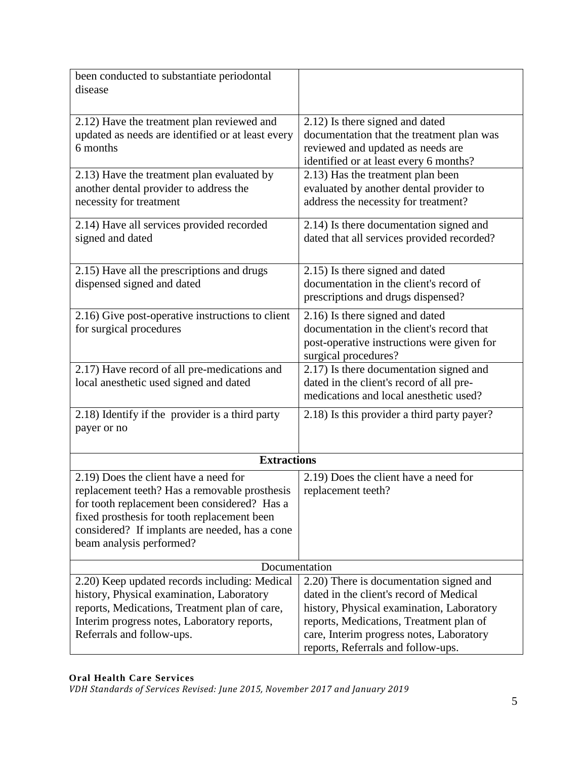| been conducted to substantiate periodontal<br>disease                                                                                                                                                                                                               |                                                                                                                                                                                                                                                              |
|---------------------------------------------------------------------------------------------------------------------------------------------------------------------------------------------------------------------------------------------------------------------|--------------------------------------------------------------------------------------------------------------------------------------------------------------------------------------------------------------------------------------------------------------|
| 2.12) Have the treatment plan reviewed and<br>updated as needs are identified or at least every<br>6 months                                                                                                                                                         | 2.12) Is there signed and dated<br>documentation that the treatment plan was<br>reviewed and updated as needs are<br>identified or at least every 6 months?                                                                                                  |
| 2.13) Have the treatment plan evaluated by<br>another dental provider to address the<br>necessity for treatment                                                                                                                                                     | 2.13) Has the treatment plan been<br>evaluated by another dental provider to<br>address the necessity for treatment?                                                                                                                                         |
| 2.14) Have all services provided recorded<br>signed and dated                                                                                                                                                                                                       | 2.14) Is there documentation signed and<br>dated that all services provided recorded?                                                                                                                                                                        |
| 2.15) Have all the prescriptions and drugs<br>dispensed signed and dated                                                                                                                                                                                            | 2.15) Is there signed and dated<br>documentation in the client's record of<br>prescriptions and drugs dispensed?                                                                                                                                             |
| 2.16) Give post-operative instructions to client<br>for surgical procedures                                                                                                                                                                                         | 2.16) Is there signed and dated<br>documentation in the client's record that<br>post-operative instructions were given for<br>surgical procedures?                                                                                                           |
| 2.17) Have record of all pre-medications and<br>local anesthetic used signed and dated                                                                                                                                                                              | 2.17) Is there documentation signed and<br>dated in the client's record of all pre-<br>medications and local anesthetic used?                                                                                                                                |
| 2.18) Identify if the provider is a third party<br>payer or no                                                                                                                                                                                                      | 2.18) Is this provider a third party payer?                                                                                                                                                                                                                  |
| <b>Extractions</b>                                                                                                                                                                                                                                                  |                                                                                                                                                                                                                                                              |
| 2.19) Does the client have a need for<br>replacement teeth? Has a removable prosthesis<br>for tooth replacement been considered? Has a<br>fixed prosthesis for tooth replacement been<br>considered? If implants are needed, has a cone<br>beam analysis performed? | 2.19) Does the client have a need for<br>replacement teeth?                                                                                                                                                                                                  |
| Documentation                                                                                                                                                                                                                                                       |                                                                                                                                                                                                                                                              |
| 2.20) Keep updated records including: Medical<br>history, Physical examination, Laboratory<br>reports, Medications, Treatment plan of care,<br>Interim progress notes, Laboratory reports,<br>Referrals and follow-ups.                                             | 2.20) There is documentation signed and<br>dated in the client's record of Medical<br>history, Physical examination, Laboratory<br>reports, Medications, Treatment plan of<br>care, Interim progress notes, Laboratory<br>reports, Referrals and follow-ups. |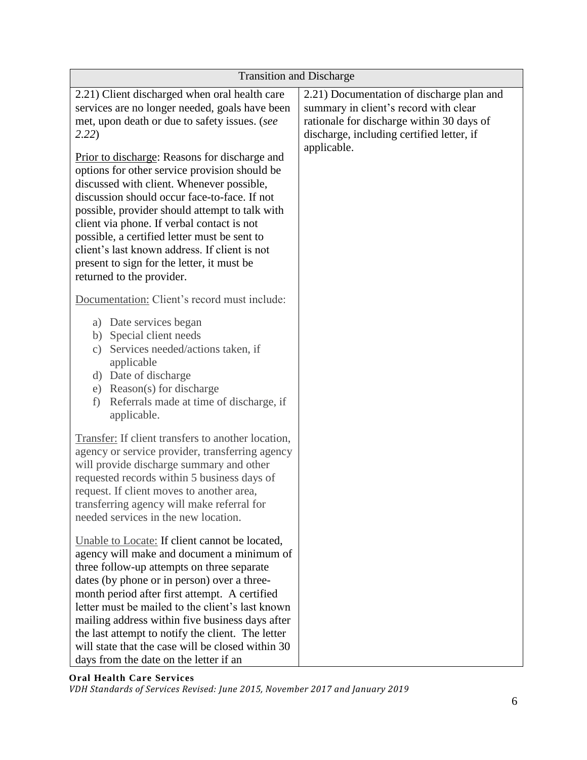| <b>Transition and Discharge</b>                                                                                                                                                                                                                                                                                                                                                                                                                                                                                                                                                                                                      |                                                                                                                                                                                             |
|--------------------------------------------------------------------------------------------------------------------------------------------------------------------------------------------------------------------------------------------------------------------------------------------------------------------------------------------------------------------------------------------------------------------------------------------------------------------------------------------------------------------------------------------------------------------------------------------------------------------------------------|---------------------------------------------------------------------------------------------------------------------------------------------------------------------------------------------|
| 2.21) Client discharged when oral health care<br>services are no longer needed, goals have been<br>met, upon death or due to safety issues. (see<br>2.22)<br>Prior to discharge: Reasons for discharge and<br>options for other service provision should be<br>discussed with client. Whenever possible,<br>discussion should occur face-to-face. If not<br>possible, provider should attempt to talk with<br>client via phone. If verbal contact is not<br>possible, a certified letter must be sent to<br>client's last known address. If client is not<br>present to sign for the letter, it must be<br>returned to the provider. | 2.21) Documentation of discharge plan and<br>summary in client's record with clear<br>rationale for discharge within 30 days of<br>discharge, including certified letter, if<br>applicable. |
| Documentation: Client's record must include:                                                                                                                                                                                                                                                                                                                                                                                                                                                                                                                                                                                         |                                                                                                                                                                                             |
| a) Date services began<br>b) Special client needs<br>Services needed/actions taken, if<br>$\mathcal{C}$ )<br>applicable<br>d) Date of discharge<br>e) Reason(s) for discharge<br>Referrals made at time of discharge, if<br>f)<br>applicable.                                                                                                                                                                                                                                                                                                                                                                                        |                                                                                                                                                                                             |
| <b>Transfer:</b> If client transfers to another location,<br>agency or service provider, transferring agency<br>will provide discharge summary and other<br>requested records within 5 business days of<br>request. If client moves to another area,<br>transferring agency will make referral for<br>needed services in the new location.                                                                                                                                                                                                                                                                                           |                                                                                                                                                                                             |
| Unable to Locate: If client cannot be located,<br>agency will make and document a minimum of<br>three follow-up attempts on three separate<br>dates (by phone or in person) over a three-<br>month period after first attempt. A certified<br>letter must be mailed to the client's last known<br>mailing address within five business days after<br>the last attempt to notify the client. The letter<br>will state that the case will be closed within 30<br>days from the date on the letter if an                                                                                                                                |                                                                                                                                                                                             |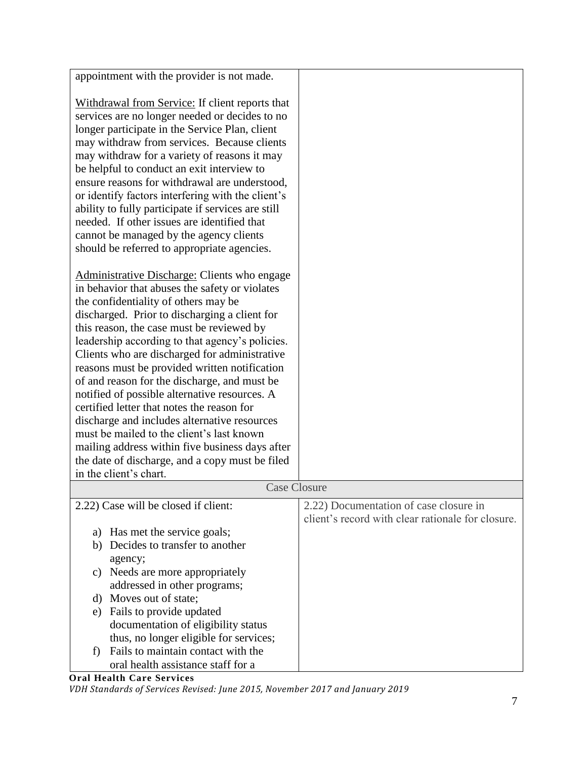| appointment with the provider is not made.                                                  |                                                   |
|---------------------------------------------------------------------------------------------|---------------------------------------------------|
| Withdrawal from Service: If client reports that                                             |                                                   |
| services are no longer needed or decides to no                                              |                                                   |
| longer participate in the Service Plan, client                                              |                                                   |
| may withdraw from services. Because clients                                                 |                                                   |
| may withdraw for a variety of reasons it may                                                |                                                   |
| be helpful to conduct an exit interview to                                                  |                                                   |
| ensure reasons for withdrawal are understood,                                               |                                                   |
| or identify factors interfering with the client's                                           |                                                   |
| ability to fully participate if services are still                                          |                                                   |
| needed. If other issues are identified that                                                 |                                                   |
| cannot be managed by the agency clients                                                     |                                                   |
| should be referred to appropriate agencies.                                                 |                                                   |
|                                                                                             |                                                   |
| Administrative Discharge: Clients who engage                                                |                                                   |
| in behavior that abuses the safety or violates                                              |                                                   |
| the confidentiality of others may be                                                        |                                                   |
| discharged. Prior to discharging a client for                                               |                                                   |
| this reason, the case must be reviewed by                                                   |                                                   |
| leadership according to that agency's policies.                                             |                                                   |
| Clients who are discharged for administrative                                               |                                                   |
| reasons must be provided written notification                                               |                                                   |
| of and reason for the discharge, and must be                                                |                                                   |
| notified of possible alternative resources. A<br>certified letter that notes the reason for |                                                   |
| discharge and includes alternative resources                                                |                                                   |
| must be mailed to the client's last known                                                   |                                                   |
| mailing address within five business days after                                             |                                                   |
| the date of discharge, and a copy must be filed                                             |                                                   |
| in the client's chart.                                                                      |                                                   |
| <b>Case Closure</b>                                                                         |                                                   |
| 2.22) Case will be closed if client:                                                        | 2.22) Documentation of case closure in            |
|                                                                                             | client's record with clear rationale for closure. |
| Has met the service goals;<br>a)                                                            |                                                   |
| Decides to transfer to another<br>b)                                                        |                                                   |
| agency;                                                                                     |                                                   |
| Needs are more appropriately<br>c)                                                          |                                                   |
| addressed in other programs;                                                                |                                                   |
| d) Moves out of state;                                                                      |                                                   |
| e) Fails to provide updated                                                                 |                                                   |
| documentation of eligibility status                                                         |                                                   |
| thus, no longer eligible for services;                                                      |                                                   |
| Fails to maintain contact with the<br>f)                                                    |                                                   |
| oral health assistance staff for a                                                          |                                                   |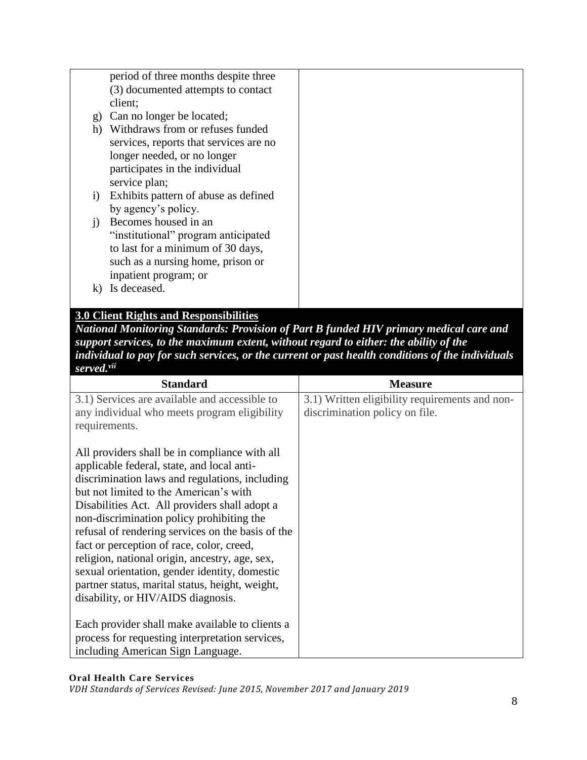|                              | period of three months despite three   |  |
|------------------------------|----------------------------------------|--|
|                              | (3) documented attempts to contact     |  |
|                              | client;                                |  |
| $\mathbf{g}$                 | Can no longer be located;              |  |
| h)                           | Withdraws from or refuses funded       |  |
|                              | services, reports that services are no |  |
|                              | longer needed, or no longer            |  |
|                              | participates in the individual         |  |
|                              | service plan;                          |  |
| $\left( \frac{1}{2} \right)$ | Exhibits pattern of abuse as defined   |  |
|                              | by agency's policy.                    |  |
| $\left( \right)$             | Becomes housed in an                   |  |
|                              | "institutional" program anticipated    |  |
|                              | to last for a minimum of 30 days,      |  |
|                              | such as a nursing home, prison or      |  |
|                              | inpatient program; or                  |  |
|                              | Is deceased.                           |  |
|                              |                                        |  |

# **3.0 Client Rights and Responsibilities**

*National Monitoring Standards: Provision of Part B funded HIV primary medical care and support services, to the maximum extent, without regard to either: the ability of the individual to pay for such services, or the current or past health conditions of the individuals served.vii*

| <b>Standard</b>                                   | <b>Measure</b>                                 |
|---------------------------------------------------|------------------------------------------------|
| 3.1) Services are available and accessible to     | 3.1) Written eligibility requirements and non- |
| any individual who meets program eligibility      | discrimination policy on file.                 |
| requirements.                                     |                                                |
|                                                   |                                                |
| All providers shall be in compliance with all     |                                                |
| applicable federal, state, and local anti-        |                                                |
| discrimination laws and regulations, including    |                                                |
| but not limited to the American's with            |                                                |
| Disabilities Act. All providers shall adopt a     |                                                |
| non-discrimination policy prohibiting the         |                                                |
| refusal of rendering services on the basis of the |                                                |
| fact or perception of race, color, creed,         |                                                |
| religion, national origin, ancestry, age, sex,    |                                                |
| sexual orientation, gender identity, domestic     |                                                |
| partner status, marital status, height, weight,   |                                                |
| disability, or HIV/AIDS diagnosis.                |                                                |
|                                                   |                                                |
| Each provider shall make available to clients a   |                                                |
| process for requesting interpretation services,   |                                                |
| including American Sign Language.                 |                                                |

#### **Oral Health Care Services**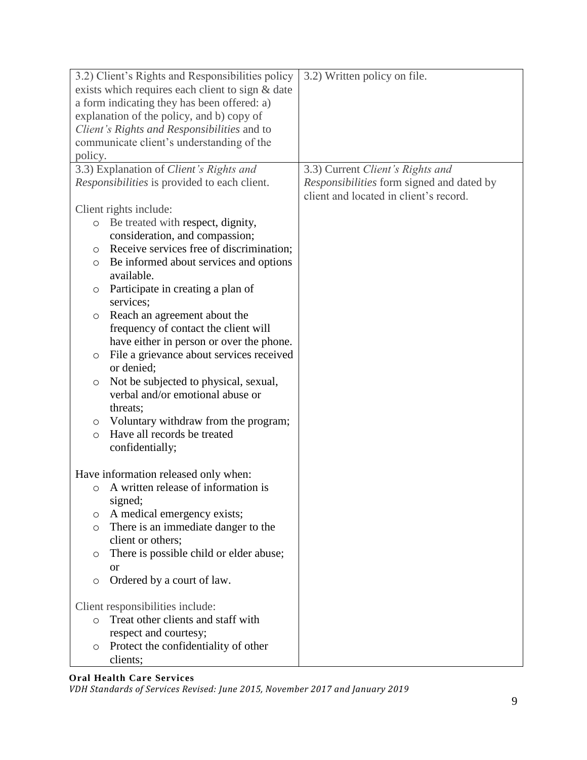| 3.2) Client's Rights and Responsibilities policy    | 3.2) Written policy on file.              |
|-----------------------------------------------------|-------------------------------------------|
| exists which requires each client to sign & date    |                                           |
| a form indicating they has been offered: a)         |                                           |
| explanation of the policy, and b) copy of           |                                           |
| Client's Rights and Responsibilities and to         |                                           |
| communicate client's understanding of the           |                                           |
| policy.                                             |                                           |
| 3.3) Explanation of Client's Rights and             | 3.3) Current Client's Rights and          |
| Responsibilities is provided to each client.        | Responsibilities form signed and dated by |
|                                                     | client and located in client's record.    |
| Client rights include:                              |                                           |
| Be treated with respect, dignity,<br>$\circ$        |                                           |
| consideration, and compassion;                      |                                           |
| Receive services free of discrimination;<br>$\circ$ |                                           |
| Be informed about services and options<br>O         |                                           |
| available.                                          |                                           |
| Participate in creating a plan of<br>O              |                                           |
| services;                                           |                                           |
| Reach an agreement about the<br>$\circ$             |                                           |
| frequency of contact the client will                |                                           |
| have either in person or over the phone.            |                                           |
| File a grievance about services received<br>O       |                                           |
| or denied;                                          |                                           |
| Not be subjected to physical, sexual,<br>$\circ$    |                                           |
| verbal and/or emotional abuse or                    |                                           |
| threats;                                            |                                           |
| Voluntary withdraw from the program;<br>$\circ$     |                                           |
| Have all records be treated<br>$\circ$              |                                           |
| confidentially;                                     |                                           |
|                                                     |                                           |
| Have information released only when:                |                                           |
| A written release of information is<br>$\circ$      |                                           |
| signed;                                             |                                           |
| A medical emergency exists;<br>O                    |                                           |
| There is an immediate danger to the<br>$\circ$      |                                           |
| client or others;                                   |                                           |
| There is possible child or elder abuse;<br>O        |                                           |
| or                                                  |                                           |
| Ordered by a court of law.<br>$\circ$               |                                           |
|                                                     |                                           |
| Client responsibilities include:                    |                                           |
| Treat other clients and staff with<br>$\circ$       |                                           |
| respect and courtesy;                               |                                           |
| Protect the confidentiality of other<br>$\circ$     |                                           |
| clients;                                            |                                           |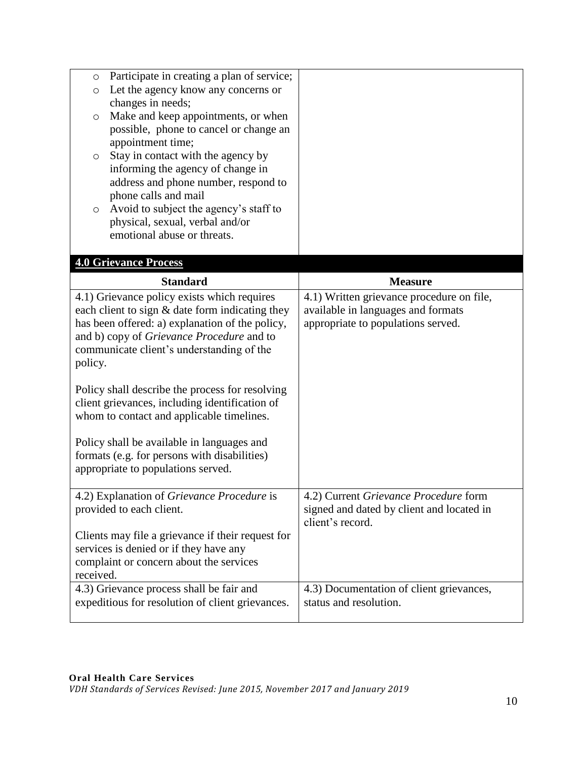| $\circ$   | Participate in creating a plan of service;                                                  |                                                               |
|-----------|---------------------------------------------------------------------------------------------|---------------------------------------------------------------|
| $\circ$   | Let the agency know any concerns or                                                         |                                                               |
|           | changes in needs;                                                                           |                                                               |
| $\circ$   | Make and keep appointments, or when                                                         |                                                               |
|           | possible, phone to cancel or change an                                                      |                                                               |
|           | appointment time;                                                                           |                                                               |
| $\circ$   | Stay in contact with the agency by<br>informing the agency of change in                     |                                                               |
|           | address and phone number, respond to                                                        |                                                               |
|           | phone calls and mail                                                                        |                                                               |
| $\circ$   | Avoid to subject the agency's staff to                                                      |                                                               |
|           | physical, sexual, verbal and/or                                                             |                                                               |
|           | emotional abuse or threats.                                                                 |                                                               |
|           |                                                                                             |                                                               |
|           | <b>4.0 Grievance Process</b>                                                                |                                                               |
|           | <b>Standard</b>                                                                             | <b>Measure</b>                                                |
|           | 4.1) Grievance policy exists which requires                                                 | 4.1) Written grievance procedure on file,                     |
|           | each client to sign & date form indicating they                                             | available in languages and formats                            |
|           | has been offered: a) explanation of the policy,                                             | appropriate to populations served.                            |
|           | and b) copy of Grievance Procedure and to                                                   |                                                               |
|           |                                                                                             |                                                               |
|           | communicate client's understanding of the                                                   |                                                               |
| policy.   |                                                                                             |                                                               |
|           |                                                                                             |                                                               |
|           | Policy shall describe the process for resolving                                             |                                                               |
|           | client grievances, including identification of<br>whom to contact and applicable timelines. |                                                               |
|           |                                                                                             |                                                               |
|           | Policy shall be available in languages and                                                  |                                                               |
|           | formats (e.g. for persons with disabilities)                                                |                                                               |
|           | appropriate to populations served.                                                          |                                                               |
|           |                                                                                             |                                                               |
|           | 4.2) Explanation of <i>Grievance Procedure</i> is                                           | 4.2) Current Grievance Procedure form                         |
|           | provided to each client.                                                                    | signed and dated by client and located in<br>client's record. |
|           | Clients may file a grievance if their request for                                           |                                                               |
|           | services is denied or if they have any                                                      |                                                               |
|           | complaint or concern about the services                                                     |                                                               |
| received. |                                                                                             |                                                               |
|           | 4.3) Grievance process shall be fair and                                                    | 4.3) Documentation of client grievances,                      |
|           | expeditious for resolution of client grievances.                                            | status and resolution.                                        |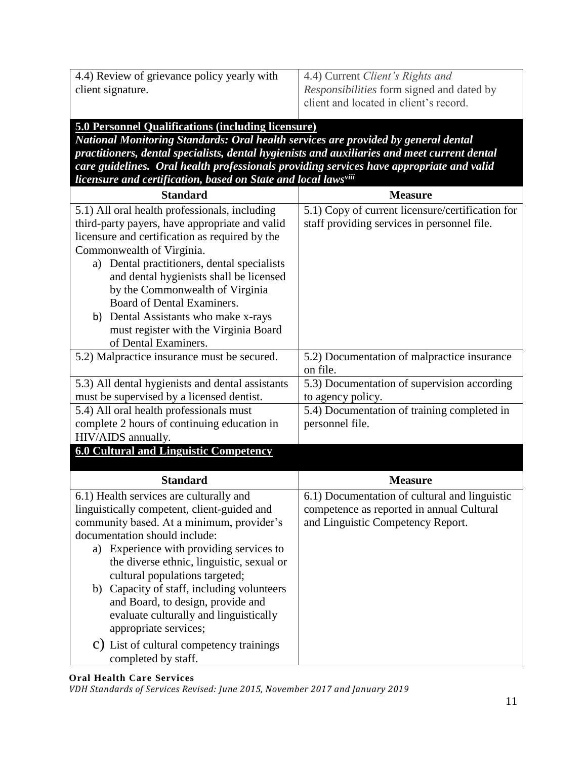4.4) Review of grievance policy yearly with client signature.

4.4) Current *Client's Rights and Responsibilities* form signed and dated by client and located in client's record.

### **5.0 Personnel Qualifications (including licensure)**

*National Monitoring Standards: Oral health services are provided by general dental practitioners, dental specialists, dental hygienists and auxiliaries and meet current dental care guidelines. Oral health professionals providing services have appropriate and valid licensure and certification, based on State and local lawsviii*

| <b>Measure</b>                                                                                                                  |
|---------------------------------------------------------------------------------------------------------------------------------|
| 5.1) Copy of current licensure/certification for<br>staff providing services in personnel file.                                 |
| 5.2) Documentation of malpractice insurance<br>on file.                                                                         |
| 5.3) Documentation of supervision according<br>to agency policy.                                                                |
| 5.4) Documentation of training completed in<br>personnel file.                                                                  |
|                                                                                                                                 |
| <b>Measure</b>                                                                                                                  |
| 6.1) Documentation of cultural and linguistic<br>competence as reported in annual Cultural<br>and Linguistic Competency Report. |
|                                                                                                                                 |

#### **Oral Health Care Services**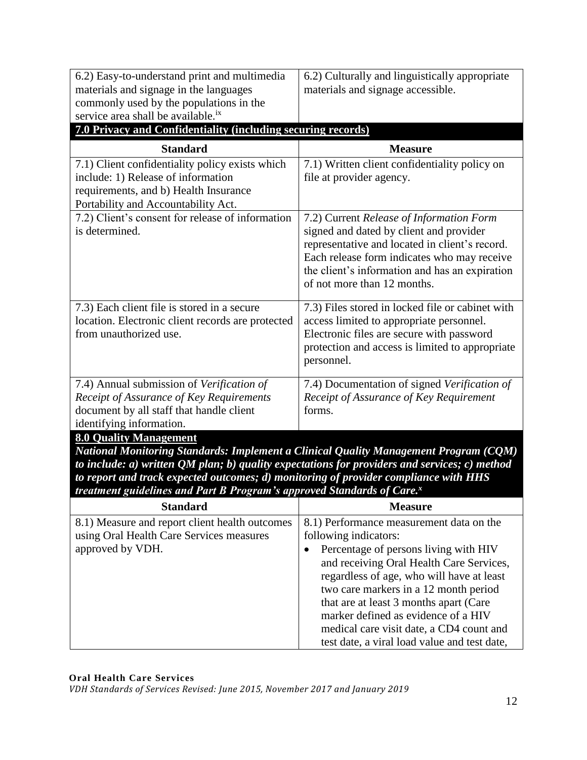| materials and signage in the languages<br>commonly used by the populations in the<br>service area shall be available. <sup>ix</sup><br>7.0 Privacy and Confidentiality (including securing records)<br><b>Standard</b><br>7.1) Client confidentiality policy exists which<br>include: 1) Release of information<br>requirements, and b) Health Insurance<br>Portability and Accountability Act.<br>7.2) Client's consent for release of information<br>is determined.                                                                                                             | materials and signage accessible.<br><b>Measure</b><br>7.1) Written client confidentiality policy on<br>file at provider agency. |  |
|-----------------------------------------------------------------------------------------------------------------------------------------------------------------------------------------------------------------------------------------------------------------------------------------------------------------------------------------------------------------------------------------------------------------------------------------------------------------------------------------------------------------------------------------------------------------------------------|----------------------------------------------------------------------------------------------------------------------------------|--|
|                                                                                                                                                                                                                                                                                                                                                                                                                                                                                                                                                                                   |                                                                                                                                  |  |
|                                                                                                                                                                                                                                                                                                                                                                                                                                                                                                                                                                                   |                                                                                                                                  |  |
|                                                                                                                                                                                                                                                                                                                                                                                                                                                                                                                                                                                   |                                                                                                                                  |  |
|                                                                                                                                                                                                                                                                                                                                                                                                                                                                                                                                                                                   |                                                                                                                                  |  |
|                                                                                                                                                                                                                                                                                                                                                                                                                                                                                                                                                                                   |                                                                                                                                  |  |
|                                                                                                                                                                                                                                                                                                                                                                                                                                                                                                                                                                                   |                                                                                                                                  |  |
|                                                                                                                                                                                                                                                                                                                                                                                                                                                                                                                                                                                   |                                                                                                                                  |  |
|                                                                                                                                                                                                                                                                                                                                                                                                                                                                                                                                                                                   |                                                                                                                                  |  |
|                                                                                                                                                                                                                                                                                                                                                                                                                                                                                                                                                                                   |                                                                                                                                  |  |
|                                                                                                                                                                                                                                                                                                                                                                                                                                                                                                                                                                                   | 7.2) Current Release of Information Form                                                                                         |  |
|                                                                                                                                                                                                                                                                                                                                                                                                                                                                                                                                                                                   | signed and dated by client and provider                                                                                          |  |
|                                                                                                                                                                                                                                                                                                                                                                                                                                                                                                                                                                                   | representative and located in client's record.                                                                                   |  |
|                                                                                                                                                                                                                                                                                                                                                                                                                                                                                                                                                                                   | Each release form indicates who may receive<br>the client's information and has an expiration                                    |  |
|                                                                                                                                                                                                                                                                                                                                                                                                                                                                                                                                                                                   | of not more than 12 months.                                                                                                      |  |
|                                                                                                                                                                                                                                                                                                                                                                                                                                                                                                                                                                                   |                                                                                                                                  |  |
| 7.3) Each client file is stored in a secure                                                                                                                                                                                                                                                                                                                                                                                                                                                                                                                                       | 7.3) Files stored in locked file or cabinet with                                                                                 |  |
| location. Electronic client records are protected                                                                                                                                                                                                                                                                                                                                                                                                                                                                                                                                 | access limited to appropriate personnel.                                                                                         |  |
| from unauthorized use.                                                                                                                                                                                                                                                                                                                                                                                                                                                                                                                                                            | Electronic files are secure with password                                                                                        |  |
|                                                                                                                                                                                                                                                                                                                                                                                                                                                                                                                                                                                   | protection and access is limited to appropriate                                                                                  |  |
|                                                                                                                                                                                                                                                                                                                                                                                                                                                                                                                                                                                   | personnel.                                                                                                                       |  |
| 7.4) Annual submission of Verification of                                                                                                                                                                                                                                                                                                                                                                                                                                                                                                                                         | 7.4) Documentation of signed Verification of                                                                                     |  |
| Receipt of Assurance of Key Requirements                                                                                                                                                                                                                                                                                                                                                                                                                                                                                                                                          | Receipt of Assurance of Key Requirement                                                                                          |  |
| document by all staff that handle client                                                                                                                                                                                                                                                                                                                                                                                                                                                                                                                                          | forms.                                                                                                                           |  |
| identifying information.                                                                                                                                                                                                                                                                                                                                                                                                                                                                                                                                                          |                                                                                                                                  |  |
| <b>8.0 Quality Management</b>                                                                                                                                                                                                                                                                                                                                                                                                                                                                                                                                                     |                                                                                                                                  |  |
| National Monitoring Standards: Implement a Clinical Quality Management Program (CQM)                                                                                                                                                                                                                                                                                                                                                                                                                                                                                              |                                                                                                                                  |  |
|                                                                                                                                                                                                                                                                                                                                                                                                                                                                                                                                                                                   |                                                                                                                                  |  |
|                                                                                                                                                                                                                                                                                                                                                                                                                                                                                                                                                                                   |                                                                                                                                  |  |
|                                                                                                                                                                                                                                                                                                                                                                                                                                                                                                                                                                                   |                                                                                                                                  |  |
|                                                                                                                                                                                                                                                                                                                                                                                                                                                                                                                                                                                   |                                                                                                                                  |  |
|                                                                                                                                                                                                                                                                                                                                                                                                                                                                                                                                                                                   |                                                                                                                                  |  |
|                                                                                                                                                                                                                                                                                                                                                                                                                                                                                                                                                                                   |                                                                                                                                  |  |
|                                                                                                                                                                                                                                                                                                                                                                                                                                                                                                                                                                                   |                                                                                                                                  |  |
| approved by VDH.<br>$\bullet$                                                                                                                                                                                                                                                                                                                                                                                                                                                                                                                                                     |                                                                                                                                  |  |
|                                                                                                                                                                                                                                                                                                                                                                                                                                                                                                                                                                                   |                                                                                                                                  |  |
|                                                                                                                                                                                                                                                                                                                                                                                                                                                                                                                                                                                   | regardless of age, who will have at least                                                                                        |  |
|                                                                                                                                                                                                                                                                                                                                                                                                                                                                                                                                                                                   | two care markers in a 12 month period                                                                                            |  |
|                                                                                                                                                                                                                                                                                                                                                                                                                                                                                                                                                                                   | that are at least 3 months apart (Care                                                                                           |  |
|                                                                                                                                                                                                                                                                                                                                                                                                                                                                                                                                                                                   | marker defined as evidence of a HIV<br>medical care visit date, a CD4 count and                                                  |  |
| to include: $a$ ) written QM plan; $b$ ) quality expectations for providers and services; $c$ ) method<br>to report and track expected outcomes; d) monitoring of provider compliance with HHS<br>treatment guidelines and Part B Program's approved Standards of Care. <sup>x</sup><br><b>Standard</b><br><b>Measure</b><br>8.1) Measure and report client health outcomes<br>8.1) Performance measurement data on the<br>using Oral Health Care Services measures<br>following indicators:<br>Percentage of persons living with HIV<br>and receiving Oral Health Care Services, |                                                                                                                                  |  |